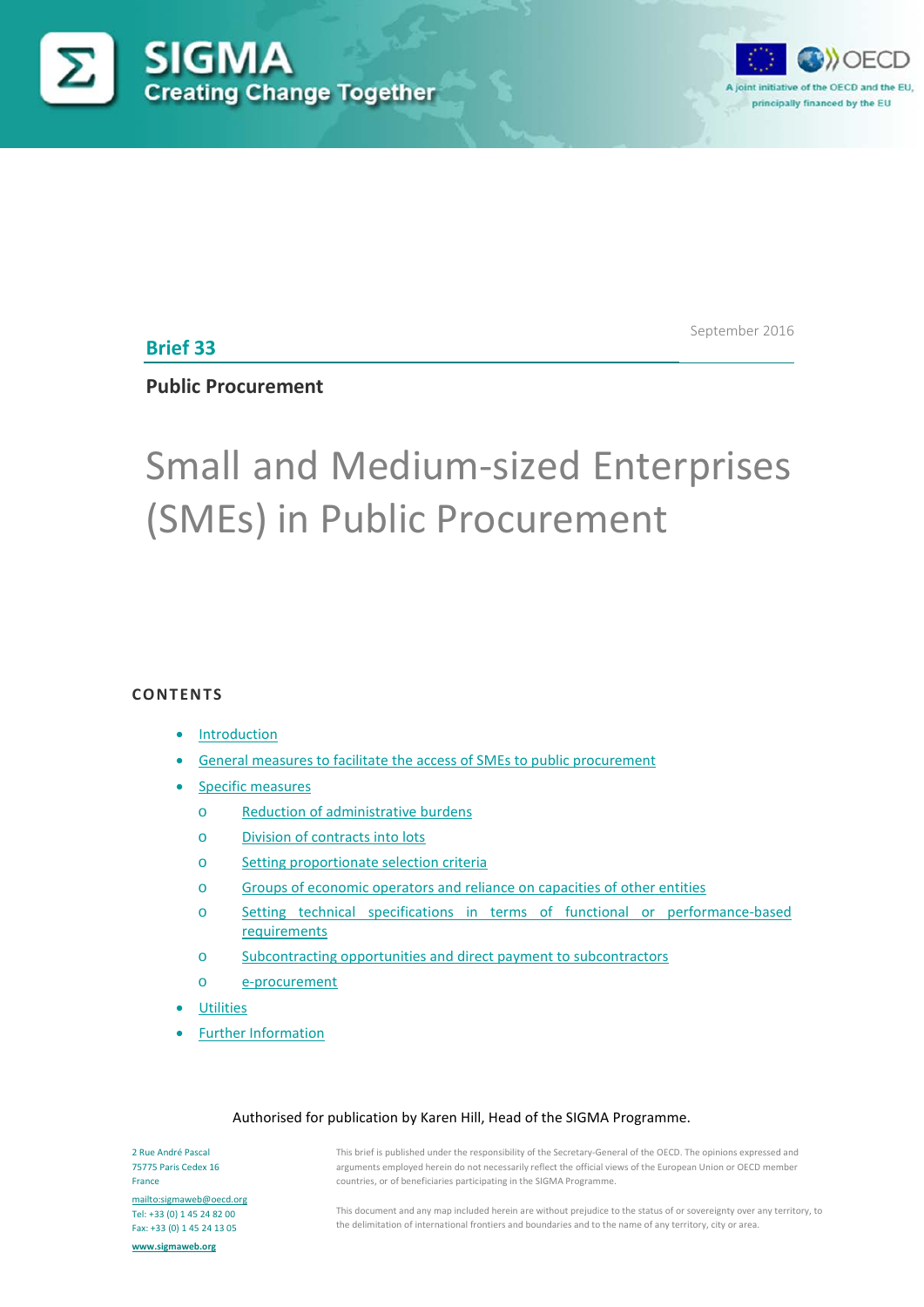



**Brief 33**

September 2016

## **Public Procurement**

# Small and Medium-sized Enterprises (SMEs) in Public Procurement

## **CONTENTS**

#### **[Introduction](#page-0-0)**

- General measures to facilitate the [access of SMEs to public procurement](#page-2-0)
- [Specific measures](#page-3-0)
	- o [Reduction of administrative burdens](#page-3-1)
	- o Division of [contracts into lots](#page-5-0)
	- o [Setting proportionate selection criteria](#page-6-0)
	- o [Groups of economic operators and reliance](#page-7-0) on capacities of other entities
	- o [Setting technical specifications in terms of functional or performance-based](#page-6-0) [requirements](#page-6-0)
	- o Subcontracting opportunities [and direct payment to subcontractors](#page-8-0)
	- o [e-procurement](#page-9-0)
- **[Utilities](#page-10-0)**
- [Further Information](#page-12-0)

#### Authorised for publication by Karen Hill, Head of the SIGMA Programme.

<span id="page-0-0"></span>2 Rue André Pascal 75775 Paris Cedex 16 France <mailto:sigmaweb@oecd.org> Tel: +33 (0) 1 45 24 82 00 Fax: +33 (0) 1 45 24 13 05

**[www.sigmaweb.org](http://www.sigmaweb.org/)**

This brief is published under the responsibility of the Secretary-General of the OECD. The opinions expressed and arguments employed herein do not necessarily reflect the official views of the European Union or OECD member countries, or of beneficiaries participating in the SIGMA Programme.

This document and any map included herein are without prejudice to the status of or sovereignty over any territory, to the delimitation of international frontiers and boundaries and to the name of any territory, city or area.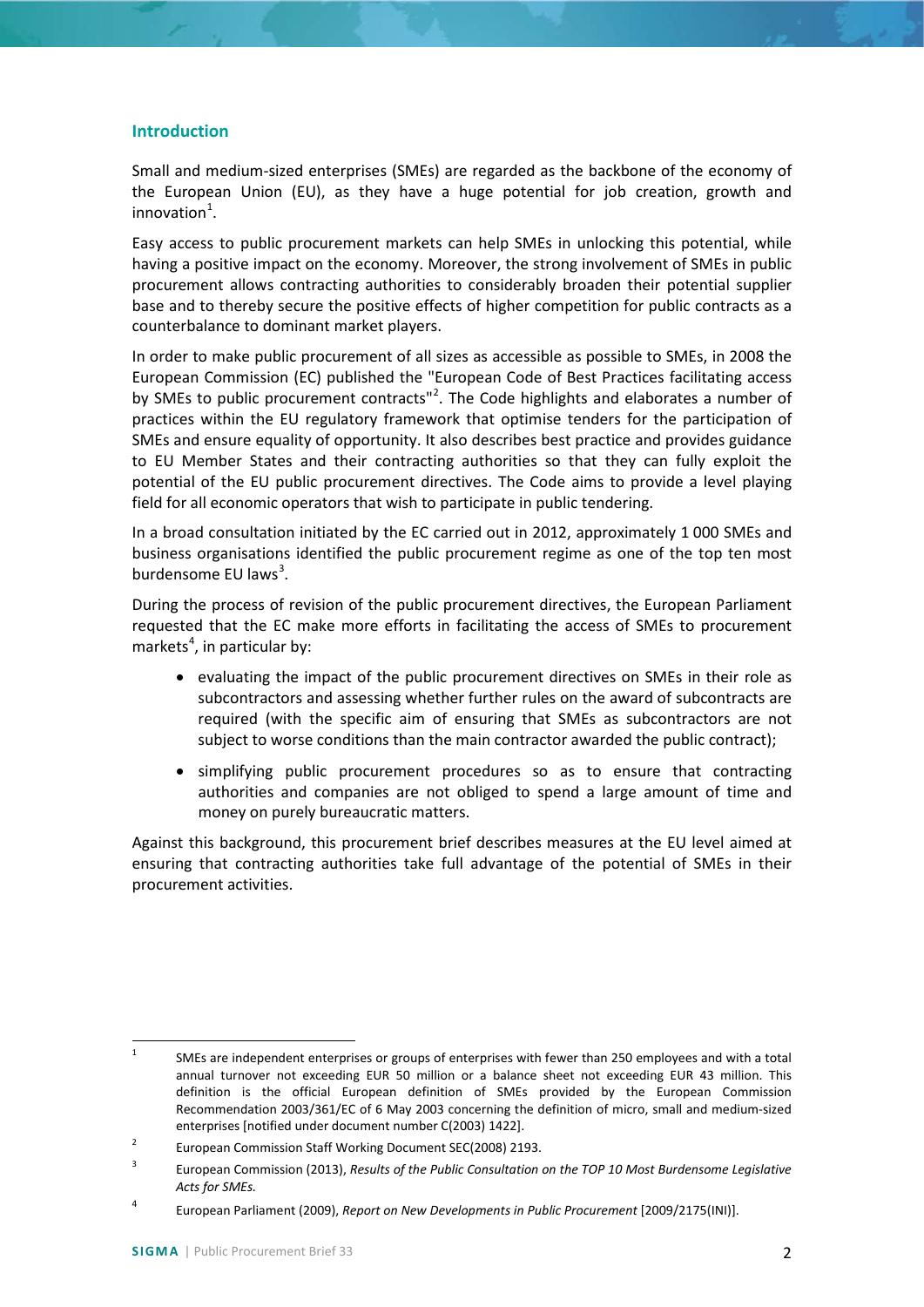## **Introduction**

Small and medium-sized enterprises (SMEs) are regarded as the backbone of the economy of the European Union (EU), as they have a huge potential for job creation, growth and  $innovation<sup>1</sup>$  $innovation<sup>1</sup>$  $innovation<sup>1</sup>$ .

Easy access to public procurement markets can help SMEs in unlocking this potential, while having a positive impact on the economy. Moreover, the strong involvement of SMEs in public procurement allows contracting authorities to considerably broaden their potential supplier base and to thereby secure the positive effects of higher competition for public contracts as a counterbalance to dominant market players.

In order to make public procurement of all sizes as accessible as possible to SMEs, in 2008 the European Commission (EC) published the "European Code of Best Practices facilitating access by SMEs to public procurement contracts"<sup>[2](#page-1-1)</sup>. The Code highlights and elaborates a number of practices within the EU regulatory framework that optimise tenders for the participation of SMEs and ensure equality of opportunity. It also describes best practice and provides guidance to EU Member States and their contracting authorities so that they can fully exploit the potential of the EU public procurement directives. The Code aims to provide a level playing field for all economic operators that wish to participate in public tendering.

In a broad consultation initiated by the EC carried out in 2012, approximately 1 000 SMEs and business organisations identified the public procurement regime as one of the top ten most burdensome EU laws<sup>[3](#page-1-2)</sup>.

During the process of revision of the public procurement directives, the European Parliament requested that the EC make more efforts in facilitating the access of SMEs to procurement markets<sup>[4](#page-1-3)</sup>, in particular by:

- evaluating the impact of the public procurement directives on SMEs in their role as subcontractors and assessing whether further rules on the award of subcontracts are required (with the specific aim of ensuring that SMEs as subcontractors are not subject to worse conditions than the main contractor awarded the public contract);
- simplifying public procurement procedures so as to ensure that contracting authorities and companies are not obliged to spend a large amount of time and money on purely bureaucratic matters.

Against this background, this procurement brief describes measures at the EU level aimed at ensuring that contracting authorities take full advantage of the potential of SMEs in their procurement activities.

<span id="page-1-0"></span><sup>&</sup>lt;sup>1</sup> SMEs are independent enterprises or groups of enterprises with fewer than 250 employees and with a total annual turnover not exceeding EUR 50 million or a balance sheet not exceeding EUR 43 million. This definition is the official European definition of SMEs provided by the European Commission Recommendation 2003/361/EC of 6 May 2003 concerning the definition of micro, small and medium-sized enterprises [notified under document number C(2003) 1422].

<span id="page-1-1"></span><sup>&</sup>lt;sup>2</sup> European Commission Staff Working Document SEC(2008) 2193.

<span id="page-1-2"></span><sup>3</sup> European Commission (2013), *Results of the Public Consultation on the TOP 10 Most Burdensome Legislative Acts for SMEs.*

<span id="page-1-3"></span><sup>4</sup> European Parliament (2009), *Report on New Developments in Public Procurement* [2009/2175(INI)].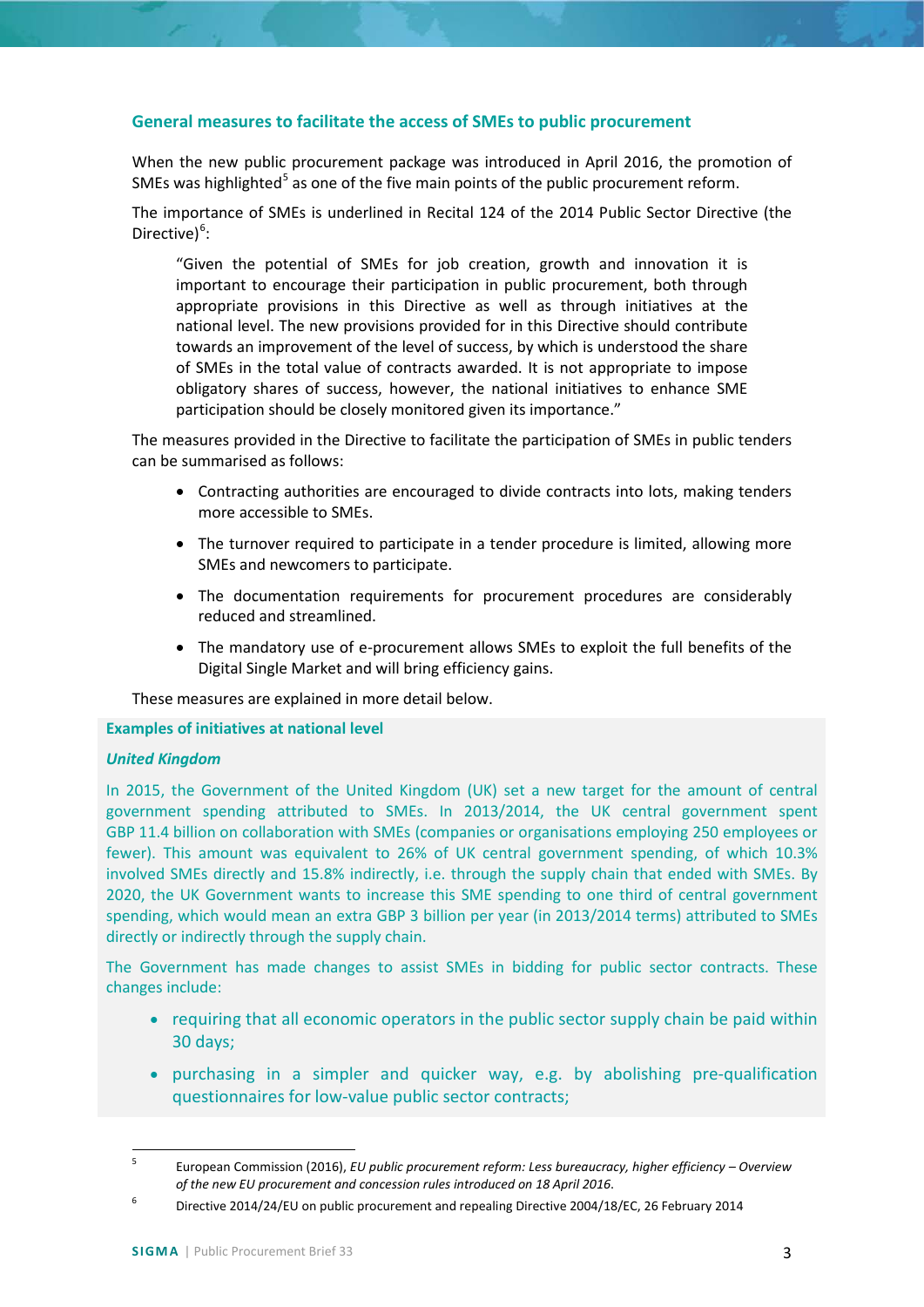## <span id="page-2-0"></span>**General measures to facilitate the access of SMEs to public procurement**

When the new public procurement package was introduced in April 2016, the promotion of SMEs was highlighted<sup>[5](#page-2-1)</sup> as one of the five main points of the public procurement reform.

The importance of SMEs is underlined in Recital 124 of the 2014 Public Sector Directive (the Directive)<sup>[6](#page-2-2)</sup>:

"Given the potential of SMEs for job creation, growth and innovation it is important to encourage their participation in public procurement, both through appropriate provisions in this Directive as well as through initiatives at the national level. The new provisions provided for in this Directive should contribute towards an improvement of the level of success, by which is understood the share of SMEs in the total value of contracts awarded. It is not appropriate to impose obligatory shares of success, however, the national initiatives to enhance SME participation should be closely monitored given its importance."

The measures provided in the Directive to facilitate the participation of SMEs in public tenders can be summarised as follows:

- Contracting authorities are encouraged to divide contracts into lots, making tenders more accessible to SMEs.
- The turnover required to participate in a tender procedure is limited, allowing more SMEs and newcomers to participate.
- The documentation requirements for procurement procedures are considerably reduced and streamlined.
- The mandatory use of e-procurement allows SMEs to exploit the full benefits of the Digital Single Market and will bring efficiency gains.

These measures are explained in more detail below.

#### **Examples of initiatives at national level**

#### *United Kingdom*

In 2015, the Government of the United Kingdom (UK) set a new target for the amount of central government spending attributed to SMEs. In 2013/2014, the UK central government spent GBP 11.4 billion on collaboration with SMEs (companies or organisations employing 250 employees or fewer). This amount was equivalent to 26% of UK central government spending, of which 10.3% involved SMEs directly and 15.8% indirectly, i.e. through the supply chain that ended with SMEs. By 2020, the UK Government wants to increase this SME spending to one third of central government spending, which would mean an extra GBP 3 billion per year (in 2013/2014 terms) attributed to SMEs directly or indirectly through the supply chain.

The Government has made changes to assist SMEs in bidding for public sector contracts. These changes include:

- requiring that all economic operators in the public sector supply chain be paid within 30 days;
- purchasing in a simpler and quicker way, e.g. by abolishing pre-qualification questionnaires for low-value public sector contracts;

<span id="page-2-1"></span> <sup>5</sup> European Commission (2016), *EU public procurement reform: Less bureaucracy, higher efficiency – Overview of the new EU procurement and concession rules introduced on 18 April 2016*.

<span id="page-2-2"></span><sup>&</sup>lt;sup>6</sup> Directive 2014/24/EU on public procurement and repealing Directive 2004/18/EC, 26 February 2014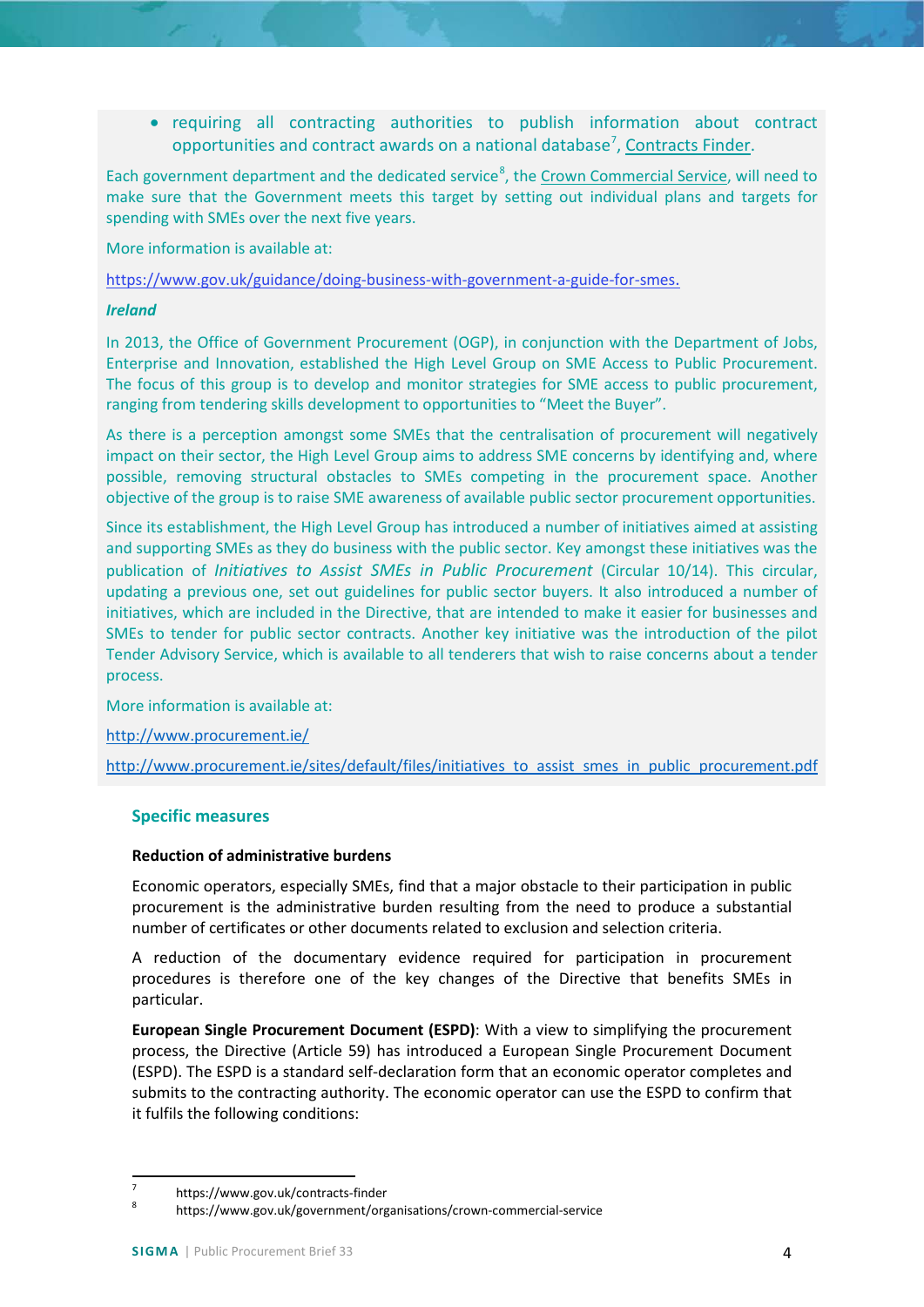• requiring all contracting authorities to publish information about contract opportunities and contract awards on a national database<sup>[7](#page-3-2)</sup>, [Contracts Finder.](https://www.gov.uk/contracts-finder)

Each government department and the dedicated service<sup>[8](#page-3-3)</sup>, the [Crown Commercial Service,](https://www.gov.uk/government/organisations/crown-commercial-service) will need to make sure that the Government meets this target by setting out individual plans and targets for spending with SMEs over the next five years.

More information is available at:

[https://www.gov.uk/guidance/doing-business-with-government-a-guide-for-smes.](https://www.gov.uk/guidance/doing-business-with-government-a-guide-for-smes)

#### *Ireland*

In 2013, the Office of Government Procurement (OGP), in conjunction with the Department of Jobs, Enterprise and Innovation, established the High Level Group on SME Access to Public Procurement. The focus of this group is to develop and monitor strategies for SME access to public procurement, ranging from tendering skills development to opportunities to "Meet the Buyer".

As there is a perception amongst some SMEs that the centralisation of procurement will negatively impact on their sector, the High Level Group aims to address SME concerns by identifying and, where possible, removing structural obstacles to SMEs competing in the procurement space. Another objective of the group is to raise SME awareness of available public sector procurement opportunities.

Since its establishment, the High Level Group has introduced a number of initiatives aimed at assisting and supporting SMEs as they do business with the public sector. Key amongst these initiatives was the publication of *Initiatives to Assist SMEs in Public Procurement* (Circular 10/14). This circular, updating a previous one, set out guidelines for public sector buyers. It also introduced a number of initiatives, which are included in the Directive, that are intended to make it easier for businesses and SMEs to tender for public sector contracts. Another key initiative was the introduction of the pilot Tender Advisory Service, which is available to all tenderers that wish to raise concerns about a tender process.

More information is available at:

<http://www.procurement.ie/>

http://www.procurement.ie/sites/default/files/initiatives to assist smes in public procurement.pdf

## <span id="page-3-0"></span>**Specific measures**

#### <span id="page-3-1"></span>**Reduction of administrative burdens**

Economic operators, especially SMEs, find that a major obstacle to their participation in public procurement is the administrative burden resulting from the need to produce a substantial number of certificates or other documents related to exclusion and selection criteria.

A reduction of the documentary evidence required for participation in procurement procedures is therefore one of the key changes of the Directive that benefits SMEs in particular.

**European Single Procurement Document (ESPD)**: With a view to simplifying the procurement process, the Directive (Article 59) has introduced a European Single Procurement Document (ESPD). The ESPD is a standard self-declaration form that an economic operator completes and submits to the contracting authority. The economic operator can use the ESPD to confirm that it fulfils the following conditions:

<span id="page-3-3"></span><span id="page-3-2"></span>

<sup>7</sup> https://www.gov.uk/contracts-finder<br><sup>8</sup> https://www.gov.uk/government/organisations/crown-commercial-service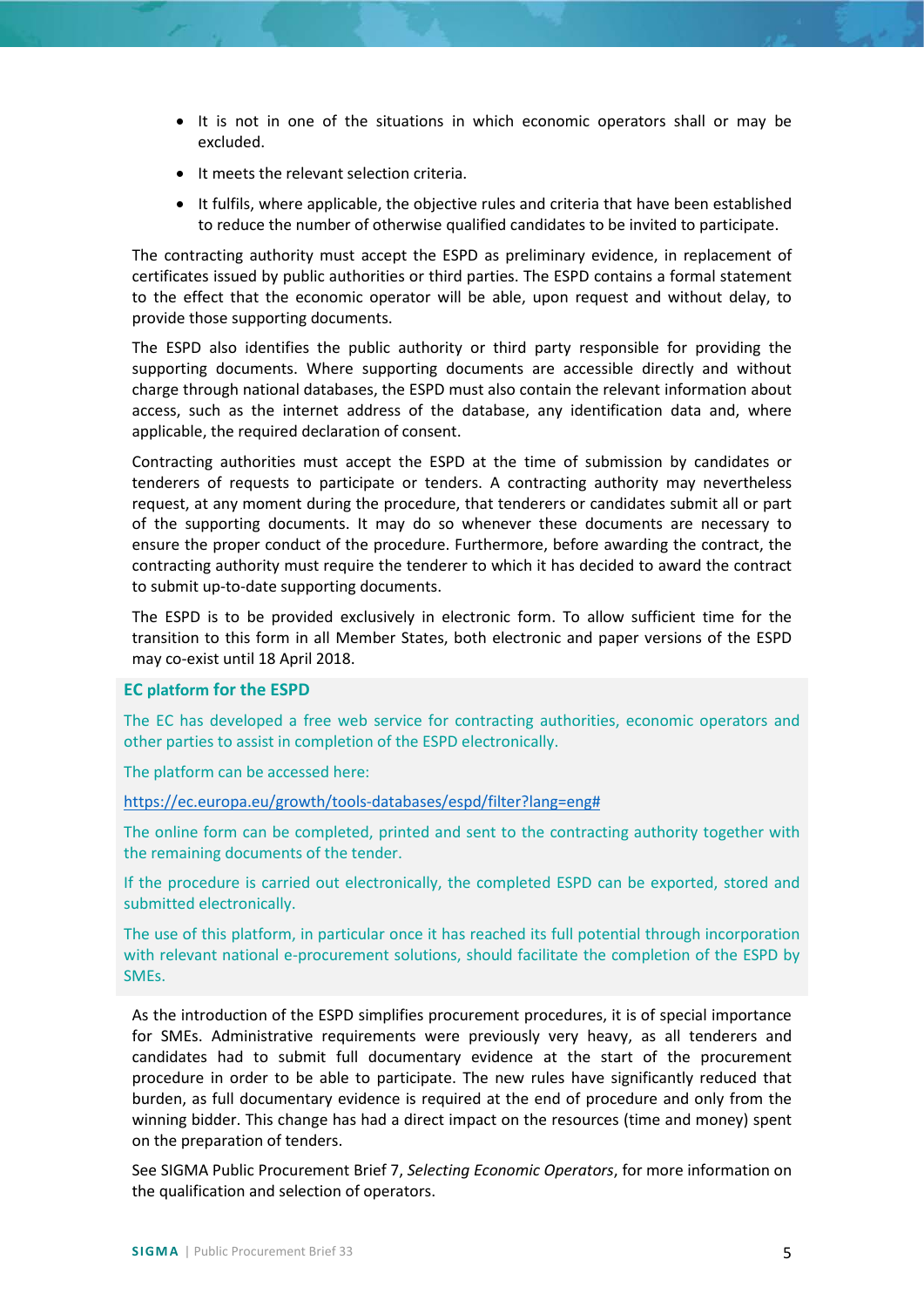- It is not in one of the situations in which economic operators shall or may be excluded.
- It meets the relevant selection criteria.
- It fulfils, where applicable, the objective rules and criteria that have been established to reduce the number of otherwise qualified candidates to be invited to participate.

The contracting authority must accept the ESPD as preliminary evidence, in replacement of certificates issued by public authorities or third parties. The ESPD contains a formal statement to the effect that the economic operator will be able, upon request and without delay, to provide those supporting documents.

The ESPD also identifies the public authority or third party responsible for providing the supporting documents. Where supporting documents are accessible directly and without charge through national databases, the ESPD must also contain the relevant information about access, such as the internet address of the database, any identification data and, where applicable, the required declaration of consent.

Contracting authorities must accept the ESPD at the time of submission by candidates or tenderers of requests to participate or tenders. A contracting authority may nevertheless request, at any moment during the procedure, that tenderers or candidates submit all or part of the supporting documents. It may do so whenever these documents are necessary to ensure the proper conduct of the procedure. Furthermore, before awarding the contract, the contracting authority must require the tenderer to which it has decided to award the contract to submit up-to-date supporting documents.

The ESPD is to be provided exclusively in electronic form. To allow sufficient time for the transition to this form in all Member States, both electronic and paper versions of the ESPD may co-exist until 18 April 2018.

#### **EC platform for the ESPD**

The EC has developed a free web service for contracting authorities, economic operators and other parties to assist in completion of the ESPD electronically.

The platform can be accessed here:

[https://ec.europa.eu/growth/tools-databases/espd/filter?lang=eng#](https://ec.europa.eu/growth/tools-databases/espd/filter?lang=eng)

The online form can be completed, printed and sent to the contracting authority together with the remaining documents of the tender.

If the procedure is carried out electronically, the completed ESPD can be exported, stored and submitted electronically.

The use of this platform, in particular once it has reached its full potential through incorporation with relevant national e-procurement solutions, should facilitate the completion of the ESPD by SMEs.

As the introduction of the ESPD simplifies procurement procedures, it is of special importance for SMEs. Administrative requirements were previously very heavy, as all tenderers and candidates had to submit full documentary evidence at the start of the procurement procedure in order to be able to participate. The new rules have significantly reduced that burden, as full documentary evidence is required at the end of procedure and only from the winning bidder. This change has had a direct impact on the resources (time and money) spent on the preparation of tenders.

See SIGMA Public Procurement Brief 7, *Selecting Economic Operators*, for more information on the qualification and selection of operators.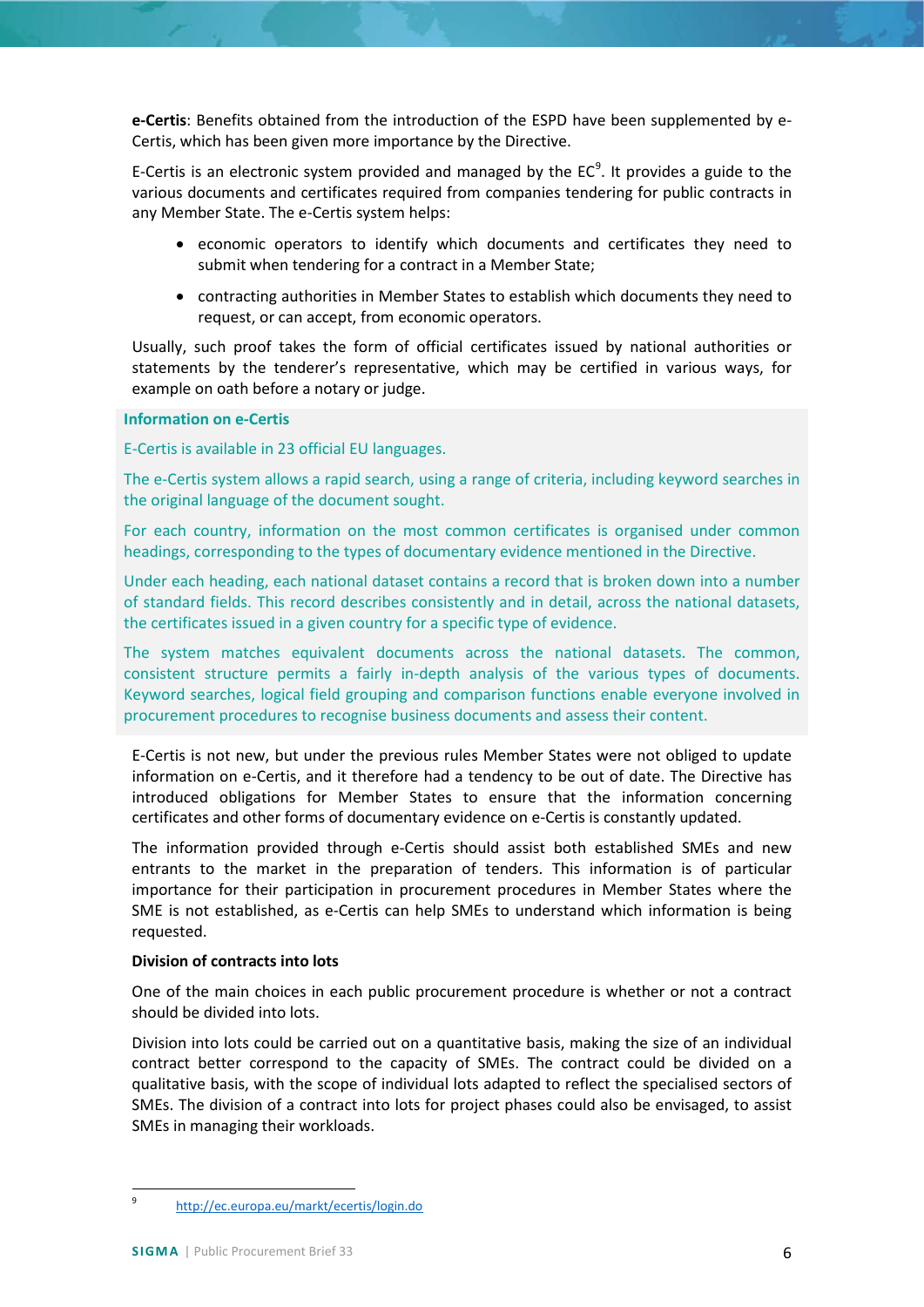**e-Certis**: Benefits obtained from the introduction of the ESPD have been supplemented by e-Certis, which has been given more importance by the Directive.

E-Certis is an electronic system provided and managed by the  $EC<sup>9</sup>$  $EC<sup>9</sup>$  $EC<sup>9</sup>$ . It provides a guide to the various documents and certificates required from companies tendering for public contracts in any Member State. The e-Certis system helps:

- economic operators to identify which documents and certificates they need to submit when tendering for a contract in a Member State;
- contracting authorities in Member States to establish which documents they need to request, or can accept, from economic operators.

Usually, such proof takes the form of official certificates issued by national authorities or statements by the tenderer's representative, which may be certified in various ways, for example on oath before a notary or judge.

## **Information on e-Certis**

E-Certis is available in 23 official EU languages.

The e-Certis system allows a rapid search, using a range of criteria, including keyword searches in the original language of the document sought.

For each country, information on the most common certificates is organised under common headings, corresponding to the types of documentary evidence mentioned in the Directive.

Under each heading, each national dataset contains a record that is broken down into a number of standard fields. This record describes consistently and in detail, across the national datasets, the certificates issued in a given country for a specific type of evidence.

The system matches equivalent documents across the national datasets. The common, consistent structure permits a fairly in-depth analysis of the various types of documents. Keyword searches, logical field grouping and comparison functions enable everyone involved in procurement procedures to recognise business documents and assess their content.

E-Certis is not new, but under the previous rules Member States were not obliged to update information on e-Certis, and it therefore had a tendency to be out of date. The Directive has introduced obligations for Member States to ensure that the information concerning certificates and other forms of documentary evidence on e-Certis is constantly updated.

The information provided through e-Certis should assist both established SMEs and new entrants to the market in the preparation of tenders. This information is of particular importance for their participation in procurement procedures in Member States where the SME is not established, as e-Certis can help SMEs to understand which information is being requested.

## <span id="page-5-0"></span>**Division of contracts into lots**

One of the main choices in each public procurement procedure is whether or not a contract should be divided into lots.

Division into lots could be carried out on a quantitative basis, making the size of an individual contract better correspond to the capacity of SMEs. The contract could be divided on a qualitative basis, with the scope of individual lots adapted to reflect the specialised sectors of SMEs. The division of a contract into lots for project phases could also be envisaged, to assist SMEs in managing their workloads.

<span id="page-5-1"></span> <sup>9</sup> <http://ec.europa.eu/markt/ecertis/login.do>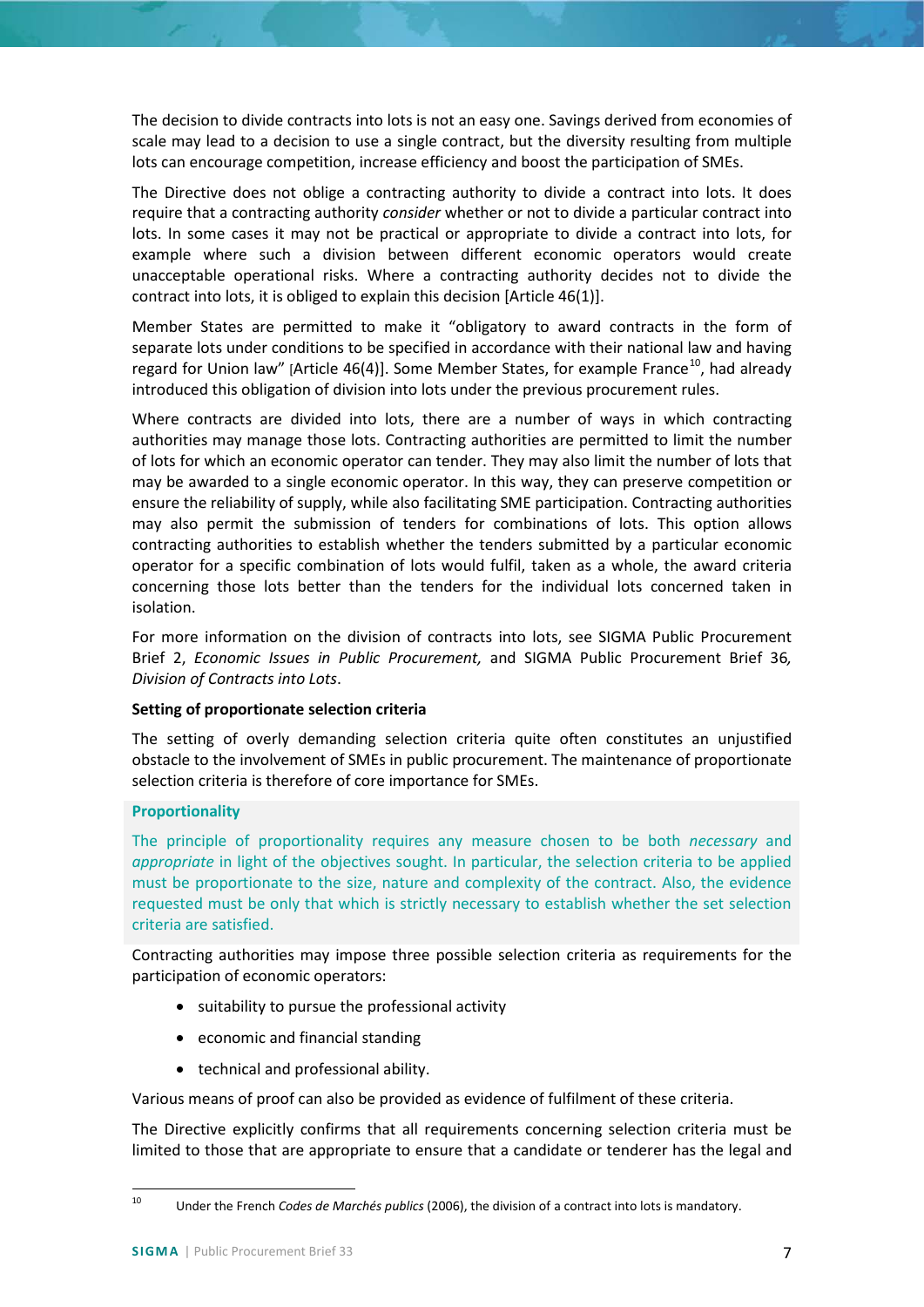The decision to divide contracts into lots is not an easy one. Savings derived from economies of scale may lead to a decision to use a single contract, but the diversity resulting from multiple lots can encourage competition, increase efficiency and boost the participation of SMEs.

The Directive does not oblige a contracting authority to divide a contract into lots. It does require that a contracting authority *consider* whether or not to divide a particular contract into lots. In some cases it may not be practical or appropriate to divide a contract into lots, for example where such a division between different economic operators would create unacceptable operational risks. Where a contracting authority decides not to divide the contract into lots, it is obliged to explain this decision [Article 46(1)].

Member States are permitted to make it "obligatory to award contracts in the form of separate lots under conditions to be specified in accordance with their national law and having regard for Union law" [Article 46(4)]. Some Member States, for example France<sup>[10](#page-6-1)</sup>, had already introduced this obligation of division into lots under the previous procurement rules.

Where contracts are divided into lots, there are a number of ways in which contracting authorities may manage those lots. Contracting authorities are permitted to limit the number of lots for which an economic operator can tender. They may also limit the number of lots that may be awarded to a single economic operator. In this way, they can preserve competition or ensure the reliability of supply, while also facilitating SME participation. Contracting authorities may also permit the submission of tenders for combinations of lots. This option allows contracting authorities to establish whether the tenders submitted by a particular economic operator for a specific combination of lots would fulfil, taken as a whole, the award criteria concerning those lots better than the tenders for the individual lots concerned taken in isolation.

For more information on the division of contracts into lots, see SIGMA Public Procurement Brief 2, *Economic Issues in Public Procurement,* and SIGMA Public Procurement Brief 36*, Division of Contracts into Lots*.

## <span id="page-6-0"></span>**Setting of proportionate selection criteria**

The setting of overly demanding selection criteria quite often constitutes an unjustified obstacle to the involvement of SMEs in public procurement. The maintenance of proportionate selection criteria is therefore of core importance for SMEs.

## **Proportionality**

The principle of proportionality requires any measure chosen to be both *necessary* and *appropriate* in light of the objectives sought. In particular, the selection criteria to be applied must be proportionate to the size, nature and complexity of the contract. Also, the evidence requested must be only that which is strictly necessary to establish whether the set selection criteria are satisfied.

Contracting authorities may impose three possible selection criteria as requirements for the participation of economic operators:

- suitability to pursue the professional activity
- economic and financial standing
- technical and professional ability.

Various means of proof can also be provided as evidence of fulfilment of these criteria.

The Directive explicitly confirms that all requirements concerning selection criteria must be limited to those that are appropriate to ensure that a candidate or tenderer has the legal and

<span id="page-6-1"></span> <sup>10</sup> Under the French *Codes de Marchés publics* (2006), the division of a contract into lots is mandatory.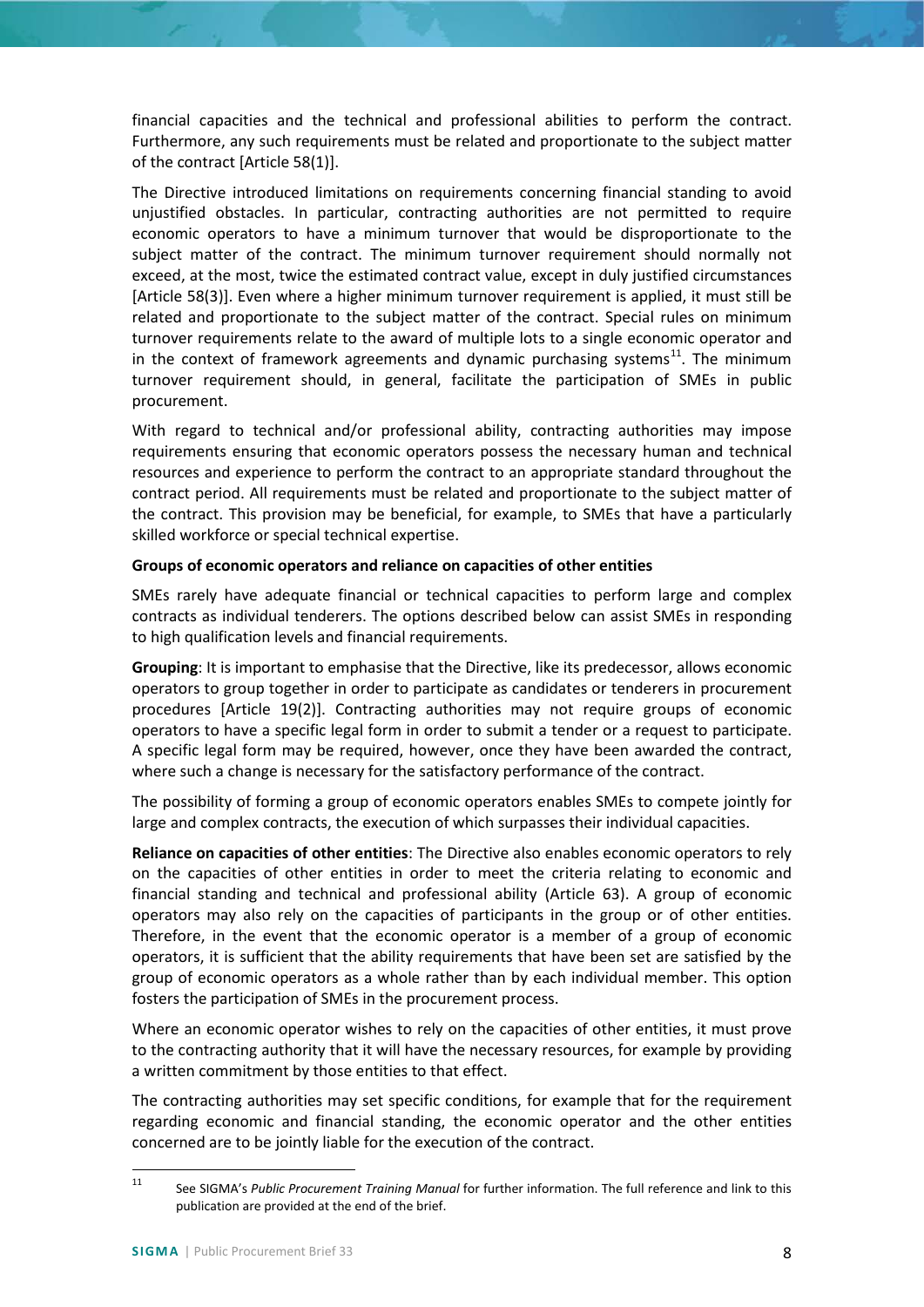financial capacities and the technical and professional abilities to perform the contract. Furthermore, any such requirements must be related and proportionate to the subject matter of the contract [Article 58(1)].

The Directive introduced limitations on requirements concerning financial standing to avoid unjustified obstacles. In particular, contracting authorities are not permitted to require economic operators to have a minimum turnover that would be disproportionate to the subject matter of the contract. The minimum turnover requirement should normally not exceed, at the most, twice the estimated contract value, except in duly justified circumstances [Article 58(3)]. Even where a higher minimum turnover requirement is applied, it must still be related and proportionate to the subject matter of the contract. Special rules on minimum turnover requirements relate to the award of multiple lots to a single economic operator and in the context of framework agreements and dynamic purchasing systems<sup>[11](#page-7-1)</sup>. The minimum turnover requirement should, in general, facilitate the participation of SMEs in public procurement.

With regard to technical and/or professional ability, contracting authorities may impose requirements ensuring that economic operators possess the necessary human and technical resources and experience to perform the contract to an appropriate standard throughout the contract period. All requirements must be related and proportionate to the subject matter of the contract. This provision may be beneficial, for example, to SMEs that have a particularly skilled workforce or special technical expertise.

## <span id="page-7-0"></span>**Groups of economic operators and reliance on capacities of other entities**

SMEs rarely have adequate financial or technical capacities to perform large and complex contracts as individual tenderers. The options described below can assist SMEs in responding to high qualification levels and financial requirements.

**Grouping**: It is important to emphasise that the Directive, like its predecessor, allows economic operators to group together in order to participate as candidates or tenderers in procurement procedures [Article 19(2)]. Contracting authorities may not require groups of economic operators to have a specific legal form in order to submit a tender or a request to participate. A specific legal form may be required, however, once they have been awarded the contract, where such a change is necessary for the satisfactory performance of the contract.

The possibility of forming a group of economic operators enables SMEs to compete jointly for large and complex contracts, the execution of which surpasses their individual capacities.

**Reliance on capacities of other entities**: The Directive also enables economic operators to rely on the capacities of other entities in order to meet the criteria relating to economic and financial standing and technical and professional ability (Article 63). A group of economic operators may also rely on the capacities of participants in the group or of other entities. Therefore, in the event that the economic operator is a member of a group of economic operators, it is sufficient that the ability requirements that have been set are satisfied by the group of economic operators as a whole rather than by each individual member. This option fosters the participation of SMEs in the procurement process.

Where an economic operator wishes to rely on the capacities of other entities, it must prove to the contracting authority that it will have the necessary resources, for example by providing a written commitment by those entities to that effect.

The contracting authorities may set specific conditions, for example that for the requirement regarding economic and financial standing, the economic operator and the other entities concerned are to be jointly liable for the execution of the contract.

<span id="page-7-1"></span> <sup>11</sup> See SIGMA's *Public Procurement Training Manual* for further information. The full reference and link to this publication are provided at the end of the brief.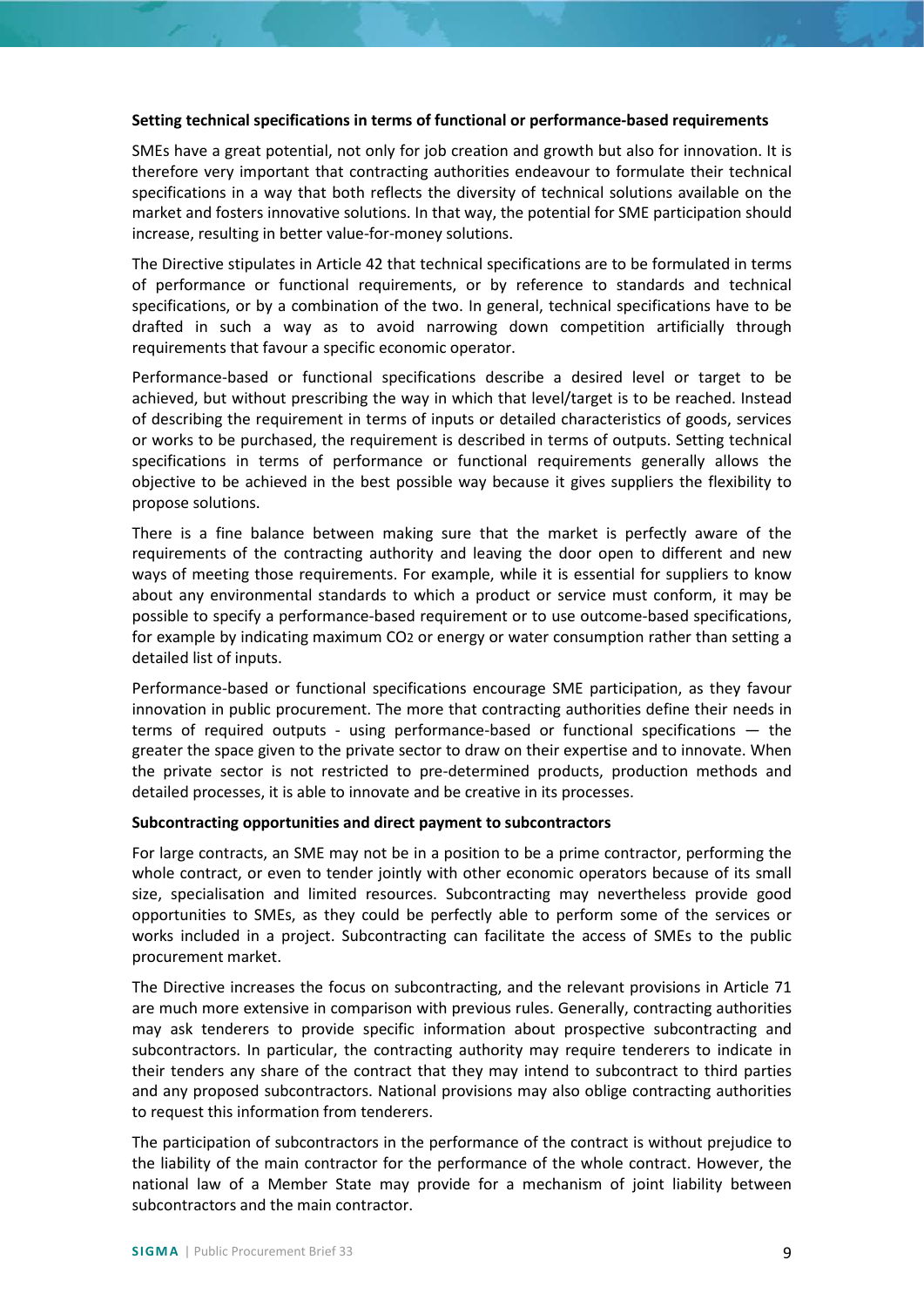#### **Setting technical specifications in terms of functional or performance-based requirements**

SMEs have a great potential, not only for job creation and growth but also for innovation. It is therefore very important that contracting authorities endeavour to formulate their technical specifications in a way that both reflects the diversity of technical solutions available on the market and fosters innovative solutions. In that way, the potential for SME participation should increase, resulting in better value-for-money solutions.

The Directive stipulates in Article 42 that technical specifications are to be formulated in terms of performance or functional requirements, or by reference to standards and technical specifications, or by a combination of the two. In general, technical specifications have to be drafted in such a way as to avoid narrowing down competition artificially through requirements that favour a specific economic operator.

Performance-based or functional specifications describe a desired level or target to be achieved, but without prescribing the way in which that level/target is to be reached. Instead of describing the requirement in terms of inputs or detailed characteristics of goods, services or works to be purchased, the requirement is described in terms of outputs. Setting technical specifications in terms of performance or functional requirements generally allows the objective to be achieved in the best possible way because it gives suppliers the flexibility to propose solutions.

There is a fine balance between making sure that the market is perfectly aware of the requirements of the contracting authority and leaving the door open to different and new ways of meeting those requirements. For example, while it is essential for suppliers to know about any environmental standards to which a product or service must conform, it may be possible to specify a performance-based requirement or to use outcome-based specifications, for example by indicating maximum CO2 or energy or water consumption rather than setting a detailed list of inputs.

Performance-based or functional specifications encourage SME participation, as they favour innovation in public procurement. The more that contracting authorities define their needs in terms of required outputs - using performance-based or functional specifications — the greater the space given to the private sector to draw on their expertise and to innovate. When the private sector is not restricted to pre-determined products, production methods and detailed processes, it is able to innovate and be creative in its processes.

#### <span id="page-8-0"></span>**Subcontracting opportunities and direct payment to subcontractors**

For large contracts, an SME may not be in a position to be a prime contractor, performing the whole contract, or even to tender jointly with other economic operators because of its small size, specialisation and limited resources. Subcontracting may nevertheless provide good opportunities to SMEs, as they could be perfectly able to perform some of the services or works included in a project. Subcontracting can facilitate the access of SMEs to the public procurement market.

The Directive increases the focus on subcontracting, and the relevant provisions in Article 71 are much more extensive in comparison with previous rules. Generally, contracting authorities may ask tenderers to provide specific information about prospective subcontracting and subcontractors. In particular, the contracting authority may require tenderers to indicate in their tenders any share of the contract that they may intend to subcontract to third parties and any proposed subcontractors. National provisions may also oblige contracting authorities to request this information from tenderers.

The participation of subcontractors in the performance of the contract is without prejudice to the liability of the main contractor for the performance of the whole contract. However, the national law of a Member State may provide for a mechanism of joint liability between subcontractors and the main contractor.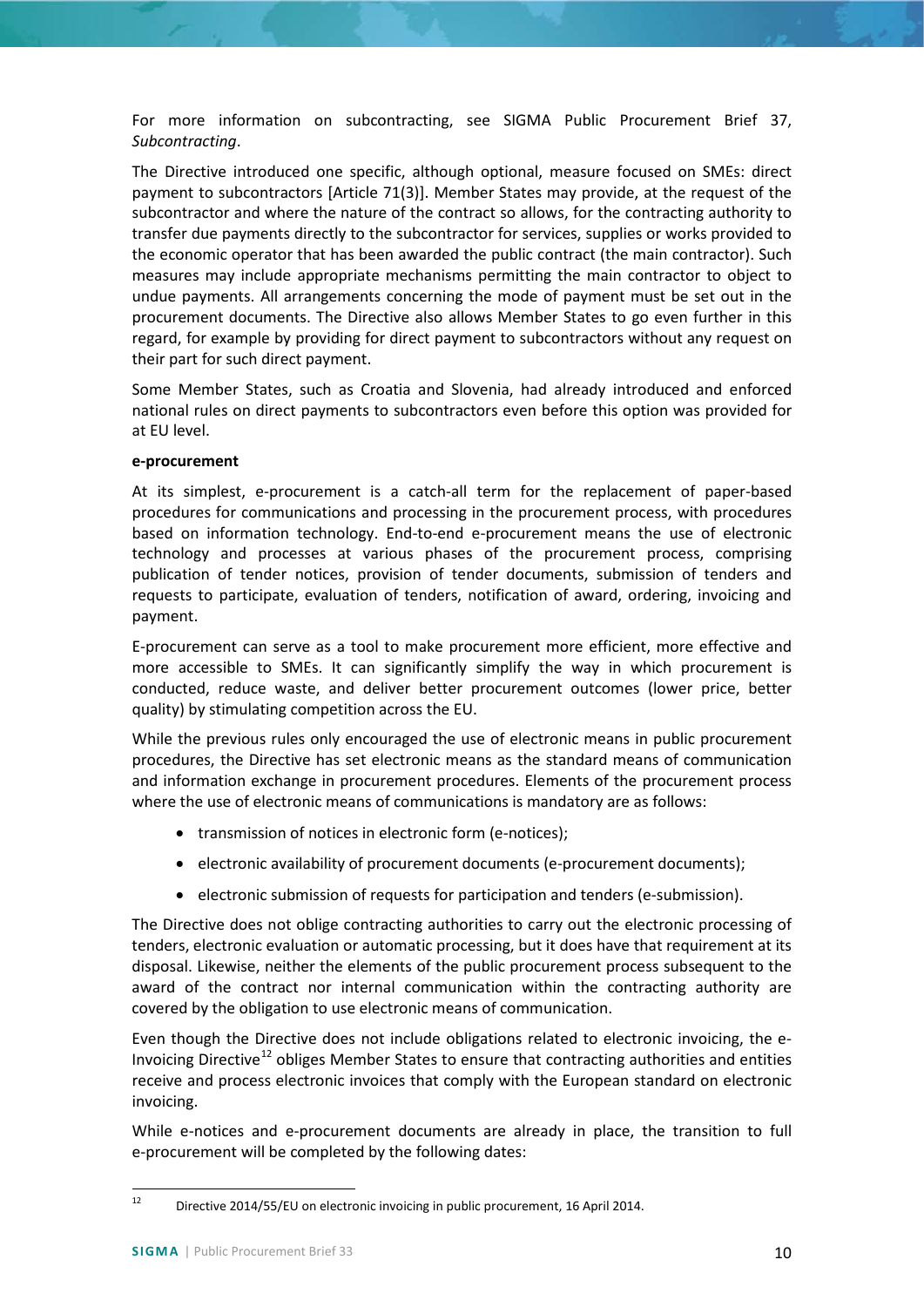For more information on subcontracting, see SIGMA Public Procurement Brief 37, *Subcontracting*.

The Directive introduced one specific, although optional, measure focused on SMEs: direct payment to subcontractors [Article 71(3)]. Member States may provide, at the request of the subcontractor and where the nature of the contract so allows, for the contracting authority to transfer due payments directly to the subcontractor for services, supplies or works provided to the economic operator that has been awarded the public contract (the main contractor). Such measures may include appropriate mechanisms permitting the main contractor to object to undue payments. All arrangements concerning the mode of payment must be set out in the procurement documents. The Directive also allows Member States to go even further in this regard, for example by providing for direct payment to subcontractors without any request on their part for such direct payment.

Some Member States, such as Croatia and Slovenia, had already introduced and enforced national rules on direct payments to subcontractors even before this option was provided for at EU level.

#### <span id="page-9-0"></span>**e-procurement**

At its simplest, e-procurement is a catch-all term for the replacement of paper-based procedures for communications and processing in the procurement process, with procedures based on information technology. End-to-end e-procurement means the use of electronic technology and processes at various phases of the procurement process, comprising publication of tender notices, provision of tender documents, submission of tenders and requests to participate, evaluation of tenders, notification of award, ordering, invoicing and payment.

E-procurement can serve as a tool to make procurement more efficient, more effective and more accessible to SMEs. It can significantly simplify the way in which procurement is conducted, reduce waste, and deliver better procurement outcomes (lower price, better quality) by stimulating competition across the EU.

While the previous rules only encouraged the use of electronic means in public procurement procedures, the Directive has set electronic means as the standard means of communication and information exchange in procurement procedures. Elements of the procurement process where the use of electronic means of communications is mandatory are as follows:

- transmission of notices in electronic form (e-notices);
- electronic availability of procurement documents (e-procurement documents);
- electronic submission of requests for participation and tenders (e-submission).

The Directive does not oblige contracting authorities to carry out the electronic processing of tenders, electronic evaluation or automatic processing, but it does have that requirement at its disposal. Likewise, neither the elements of the public procurement process subsequent to the award of the contract nor internal communication within the contracting authority are covered by the obligation to use electronic means of communication.

Even though the Directive does not include obligations related to electronic invoicing, the e-Invoicing Directive<sup>[12](#page-9-1)</sup> obliges Member States to ensure that contracting authorities and entities receive and process electronic invoices that comply with the European standard on electronic invoicing.

While e-notices and e-procurement documents are already in place, the transition to full e-procurement will be completed by the following dates:

<span id="page-9-1"></span><sup>&</sup>lt;sup>12</sup> Directive 2014/55/EU on electronic invoicing in public procurement, 16 April 2014.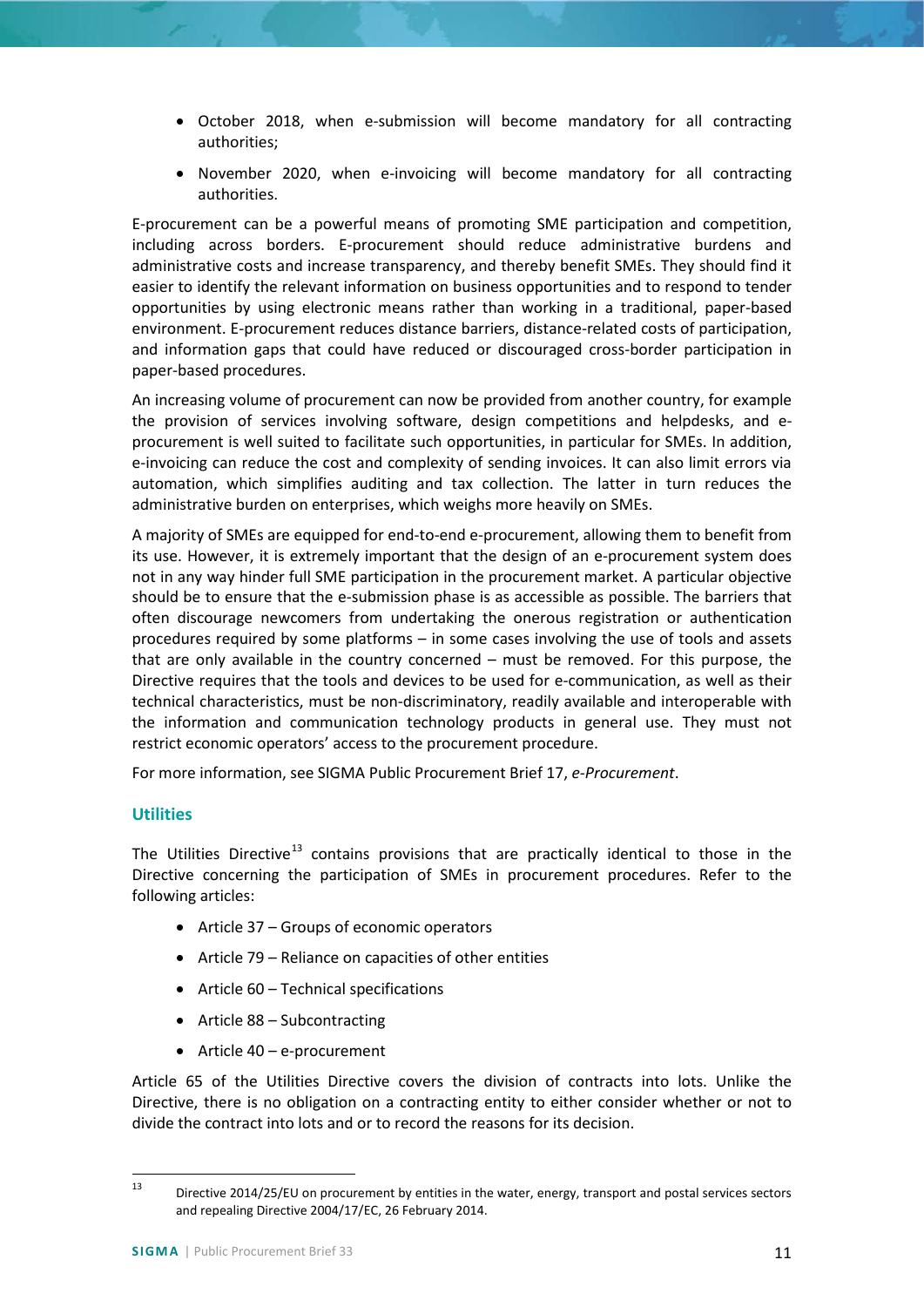- October 2018, when e-submission will become mandatory for all contracting authorities;
- November 2020, when e-invoicing will become mandatory for all contracting authorities.

E-procurement can be a powerful means of promoting SME participation and competition, including across borders. E-procurement should reduce administrative burdens and administrative costs and increase transparency, and thereby benefit SMEs. They should find it easier to identify the relevant information on business opportunities and to respond to tender opportunities by using electronic means rather than working in a traditional, paper-based environment. E-procurement reduces distance barriers, distance-related costs of participation, and information gaps that could have reduced or discouraged cross-border participation in paper-based procedures.

An increasing volume of procurement can now be provided from another country, for example the provision of services involving software, design competitions and helpdesks, and eprocurement is well suited to facilitate such opportunities, in particular for SMEs. In addition, e-invoicing can reduce the cost and complexity of sending invoices. It can also limit errors via automation, which simplifies auditing and tax collection. The latter in turn reduces the administrative burden on enterprises, which weighs more heavily on SMEs.

A majority of SMEs are equipped for end-to-end e-procurement, allowing them to benefit from its use. However, it is extremely important that the design of an e-procurement system does not in any way hinder full SME participation in the procurement market. A particular objective should be to ensure that the e-submission phase is as accessible as possible. The barriers that often discourage newcomers from undertaking the onerous registration or authentication procedures required by some platforms – in some cases involving the use of tools and assets that are only available in the country concerned – must be removed. For this purpose, the Directive requires that the tools and devices to be used for e-communication, as well as their technical characteristics, must be non-discriminatory, readily available and interoperable with the information and communication technology products in general use. They must not restrict economic operators' access to the procurement procedure.

For more information, see SIGMA Public Procurement Brief 17, *e-Procurement*.

## <span id="page-10-0"></span>**Utilities**

The Utilities Directive<sup>[13](#page-10-1)</sup> contains provisions that are practically identical to those in the Directive concerning the participation of SMEs in procurement procedures. Refer to the following articles:

- Article 37 Groups of economic operators
- Article 79 Reliance on capacities of other entities
- Article 60 Technical specifications
- Article 88 Subcontracting
- Article 40 e-procurement

Article 65 of the Utilities Directive covers the division of contracts into lots. Unlike the Directive, there is no obligation on a contracting entity to either consider whether or not to divide the contract into lots and or to record the reasons for its decision.

<span id="page-10-1"></span><sup>&</sup>lt;sup>13</sup> Directive 2014/25/EU on procurement by entities in the water, energy, transport and postal services sectors and repealing Directive 2004/17/EC, 26 February 2014.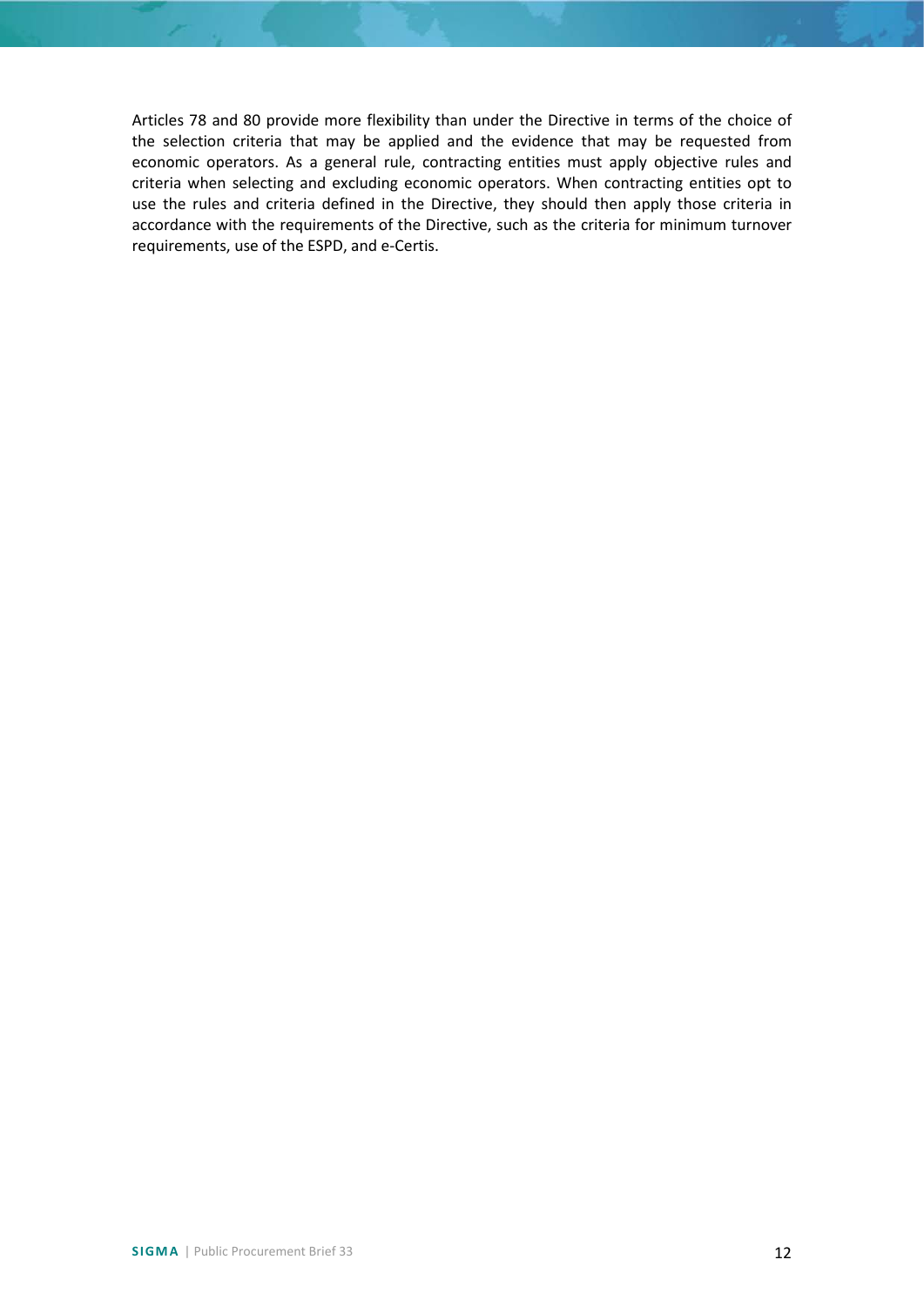Articles 78 and 80 provide more flexibility than under the Directive in terms of the choice of the selection criteria that may be applied and the evidence that may be requested from economic operators. As a general rule, contracting entities must apply objective rules and criteria when selecting and excluding economic operators. When contracting entities opt to use the rules and criteria defined in the Directive, they should then apply those criteria in accordance with the requirements of the Directive, such as the criteria for minimum turnover requirements, use of the ESPD, and e-Certis.